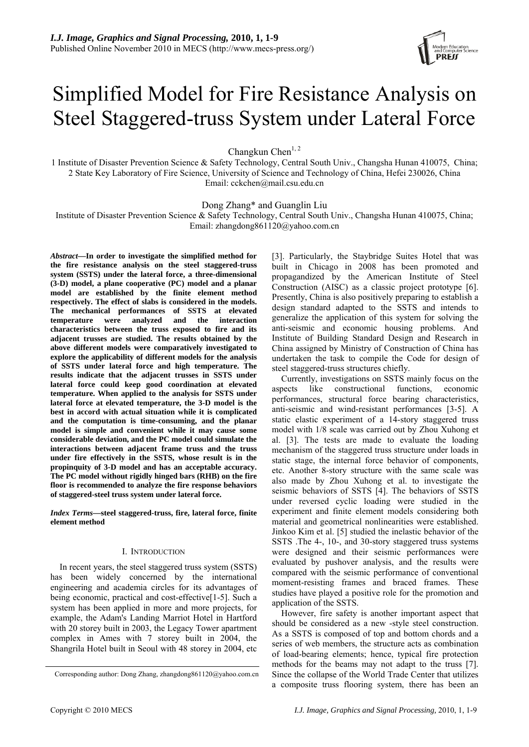# Simplified Model for Fire Resistance Analysis on Steel Staggered-truss System under Lateral Force

Changkun Chen<sup>1, 2</sup>

1 Institute of Disaster Prevention Science & Safety Technology, Central South Univ., Changsha Hunan 410075, China; 2 State Key Laboratory of Fire Science, University of Science and Technology of China, Hefei 230026, China Email: cckchen@mail.csu.edu.cn

Dong Zhang\* and Guanglin Liu

Institute of Disaster Prevention Science & Safety Technology, Central South Univ., Changsha Hunan 410075, China; Email: zhangdong861120@yahoo.com.cn

*Abstract***—In order to investigate the simplified method for the fire resistance analysis on the steel staggered-truss system (SSTS) under the lateral force, a three-dimensional (3-D) model, a plane cooperative (PC) model and a planar model are established by the finite element method respectively. The effect of slabs is considered in the models. The mechanical performances of SSTS at elevated temperature were analyzed and the interaction characteristics between the truss exposed to fire and its adjacent trusses are studied. The results obtained by the above different models were comparatively investigated to explore the applicability of different models for the analysis of SSTS under lateral force and high temperature. The results indicate that the adjacent trusses in SSTS under lateral force could keep good coordination at elevated temperature. When applied to the analysis for SSTS under lateral force at elevated temperature, the 3-D model is the best in accord with actual situation while it is complicated and the computation is time-consuming, and the planar model is simple and convenient while it may cause some considerable deviation, and the PC model could simulate the interactions between adjacent frame truss and the truss under fire effectively in the SSTS, whose result is in the propinquity of 3-D model and has an acceptable accuracy. The PC model without rigidly hinged bars (RHB) on the fire floor is recommended to analyze the fire response behaviors of staggered-steel truss system under lateral force.** 

*Index Terms***—steel staggered-truss, fire, lateral force, finite element method** 

# I. INTRODUCTION

In recent years, the steel staggered truss system (SSTS) has been widely concerned by the international engineering and academia circles for its advantages of being economic, practical and cost-effective[1-5]. Such a system has been applied in more and more projects, for example, the Adam's Landing Marriot Hotel in Hartford with 20 storey built in 2003, the Legacy Tower apartment complex in Ames with 7 storey built in 2004, the Shangrila Hotel built in Seoul with 48 storey in 2004, etc

[3]. Particularly, the Staybridge Suites Hotel that was built in Chicago in 2008 has been promoted and propagandized by the American Institute of Steel Construction (AISC) as a classic project prototype [6]. Presently, China is also positively preparing to establish a design standard adapted to the SSTS and intends to generalize the application of this system for solving the anti-seismic and economic housing problems. And Institute of Building Standard Design and Research in China assigned by Ministry of Construction of China has undertaken the task to compile the Code for design of steel staggered-truss structures chiefly.

Currently, investigations on SSTS mainly focus on the aspects like constructional functions, economic performances, structural force bearing characteristics, anti-seismic and wind-resistant performances [3-5]. A static elastic experiment of a 14-story staggered truss model with 1/8 scale was carried out by Zhou Xuhong et al. [3]. The tests are made to evaluate the loading mechanism of the staggered truss structure under loads in static stage, the internal force behavior of components, etc. Another 8-story structure with the same scale was also made by Zhou Xuhong et al. to investigate the seismic behaviors of SSTS [4]. The behaviors of SSTS under reversed cyclic loading were studied in the experiment and finite element models considering both material and geometrical nonlinearities were established. Jinkoo Kim et al. [5] studied the inelastic behavior of the SSTS .The 4-, 10-, and 30-story staggered truss systems were designed and their seismic performances were evaluated by pushover analysis, and the results were compared with the seismic performance of conventional moment-resisting frames and braced frames. These studies have played a positive role for the promotion and application of the SSTS.

However, fire safety is another important aspect that should be considered as a new -style steel construction. As a SSTS is composed of top and bottom chords and a series of web members, the structure acts as combination of load-bearing elements; hence, typical fire protection methods for the beams may not adapt to the truss [7]. Since the collapse of the World Trade Center that utilizes a composite truss flooring system, there has been an

Corresponding author: Dong Zhang, zhangdong861120@yahoo.com.cn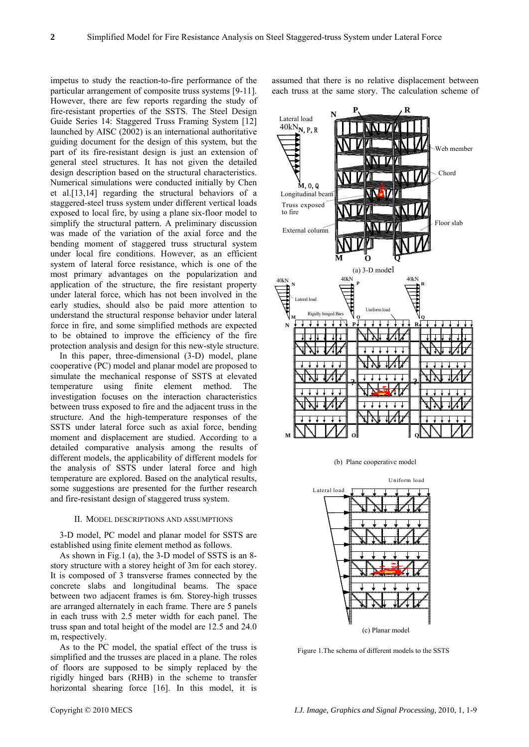impetus to study the reaction-to-fire performance of the particular arrangement of composite truss systems [9-11]. However, there are few reports regarding the study of fire-resistant properties of the SSTS. The Steel Design Guide Series 14: Staggered Truss Framing System [12] launched by AISC (2002) is an international authoritative guiding document for the design of this system, but the part of its fire-resistant design is just an extension of general steel structures. It has not given the detailed design description based on the structural characteristics. Numerical simulations were conducted initially by Chen et al.[13,14] regarding the structural behaviors of a staggered-steel truss system under different vertical loads exposed to local fire, by using a plane six-floor model to simplify the structural pattern. A preliminary discussion was made of the variation of the axial force and the bending moment of staggered truss structural system under local fire conditions. However, as an efficient system of lateral force resistance, which is one of the most primary advantages on the popularization and application of the structure, the fire resistant property under lateral force, which has not been involved in the early studies, should also be paid more attention to understand the structural response behavior under lateral force in fire, and some simplified methods are expected to be obtained to improve the efficiency of the fire protection analysis and design for this new-style structure.

In this paper, three-dimensional (3-D) model, plane cooperative (PC) model and planar model are proposed to simulate the mechanical response of SSTS at elevated temperature using finite element method. The investigation focuses on the interaction characteristics between truss exposed to fire and the adjacent truss in the structure. And the high-temperature responses of the SSTS under lateral force such as axial force, bending moment and displacement are studied. According to a detailed comparative analysis among the results of different models, the applicability of different models for the analysis of SSTS under lateral force and high temperature are explored. Based on the analytical results, some suggestions are presented for the further research and fire-resistant design of staggered truss system.

#### II. MODEL DESCRIPTIONS AND ASSUMPTIONS

3-D model, PC model and planar model for SSTS are established using finite element method as follows.

As shown in Fig.1 (a), the 3-D model of SSTS is an 8 story structure with a storey height of 3m for each storey. It is composed of 3 transverse frames connected by the concrete slabs and longitudinal beams. The space between two adjacent frames is 6m. Storey-high trusses are arranged alternately in each frame. There are 5 panels in each truss with 2.5 meter width for each panel. The truss span and total height of the model are 12.5 and 24.0 m, respectively.

As to the PC model, the spatial effect of the truss is simplified and the trusses are placed in a plane. The roles of floors are supposed to be simply replaced by the rigidly hinged bars (RHB) in the scheme to transfer horizontal shearing force [16]. In this model, it is

assumed that there is no relative displacement between each truss at the same story. The calculation scheme of



(b) Plane cooperative model



Figure 1.The schema of different models to the SSTS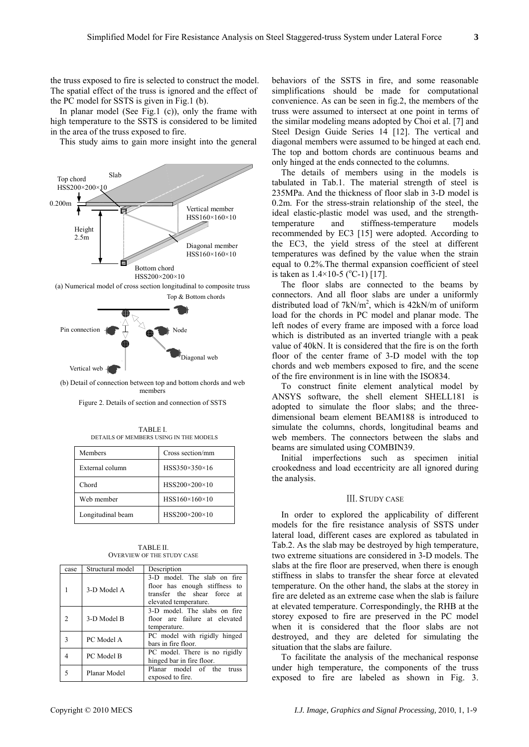the truss exposed to fire is selected to construct the model. The spatial effect of the truss is ignored and the effect of the PC model for SSTS is given in Fig.1 (b).

In planar model (See Fig.1 (c)), only the frame with high temperature to the SSTS is considered to be limited in the area of the truss exposed to fire.

This study aims to gain more insight into the general



(b) Detail of connection between top and bottom chords and web members

Figure 2. Details of section and connection of SSTS

TABLE I. DETAILS OF MEMBERS USING IN THE MODELS

| Members           | Cross section/mm          |  |
|-------------------|---------------------------|--|
| External column   | HSS350×350×16             |  |
| Chord             | $HSS200\times200\times10$ |  |
| Web member        | $HSS160\times160\times10$ |  |
| Longitudinal beam | HSS200×200×10             |  |

TABLE II. OVERVIEW OF THE STUDY CASE

| case | Structural model | Description                                                                                                             |  |  |
|------|------------------|-------------------------------------------------------------------------------------------------------------------------|--|--|
|      | 3-D Model A      | 3-D model. The slab on fire<br>floor has enough stiffness to<br>transfer the shear force<br>at<br>elevated temperature. |  |  |
|      | 3-D Model B      | 3-D model. The slabs on fire<br>floor are failure at elevated<br>temperature.                                           |  |  |
| 3    | PC Model A       | PC model with rigidly hinged<br>bars in fire floor.                                                                     |  |  |
|      | PC Model B       | PC model. There is no rigidly<br>hinged bar in fire floor.                                                              |  |  |
|      | Planar Model     | Planar model of the<br>truss<br>exposed to fire.                                                                        |  |  |

behaviors of the SSTS in fire, and some reasonable simplifications should be made for computational convenience. As can be seen in fig.2, the members of the truss were assumed to intersect at one point in terms of the similar modeling means adopted by Choi et al. [7] and Steel Design Guide Series 14 [12]. The vertical and diagonal members were assumed to be hinged at each end. The top and bottom chords are continuous beams and only hinged at the ends connected to the columns.

The details of members using in the models is tabulated in Tab.1. The material strength of steel is 235MPa. And the thickness of floor slab in 3-D model is 0.2m. For the stress-strain relationship of the steel, the ideal elastic-plastic model was used, and the strengthtemperature and stiffness-temperature models recommended by EC3 [15] were adopted. According to the EC3, the yield stress of the steel at different temperatures was defined by the value when the strain equal to 0.2%.The thermal expansion coefficient of steel is taken as  $1.4 \times 10-5$  (°C-1) [17].

The floor slabs are connected to the beams by connectors. And all floor slabs are under a uniformly distributed load of  $7kN/m^2$ , which is 42kN/m of uniform load for the chords in PC model and planar mode. The left nodes of every frame are imposed with a force load which is distributed as an inverted triangle with a peak value of 40kN. It is considered that the fire is on the forth floor of the center frame of 3-D model with the top chords and web members exposed to fire, and the scene of the fire environment is in line with the ISO834.

To construct finite element analytical model by ANSYS software, the shell element SHELL181 is adopted to simulate the floor slabs; and the threedimensional beam element BEAM188 is introduced to simulate the columns, chords, longitudinal beams and web members. The connectors between the slabs and beams are simulated using COMBIN39.

Initial imperfections such as specimen initial crookedness and load eccentricity are all ignored during the analysis.

#### Ⅲ. STUDY CASE

In order to explored the applicability of different models for the fire resistance analysis of SSTS under lateral load, different cases are explored as tabulated in Tab.2. As the slab may be destroyed by high temperature, two extreme situations are considered in 3-D models. The slabs at the fire floor are preserved, when there is enough stiffness in slabs to transfer the shear force at elevated temperature. On the other hand, the slabs at the storey in fire are deleted as an extreme case when the slab is failure at elevated temperature. Correspondingly, the RHB at the storey exposed to fire are preserved in the PC model when it is considered that the floor slabs are not destroyed, and they are deleted for simulating the situation that the slabs are failure.

To facilitate the analysis of the mechanical response under high temperature, the components of the truss exposed to fire are labeled as shown in Fig. 3.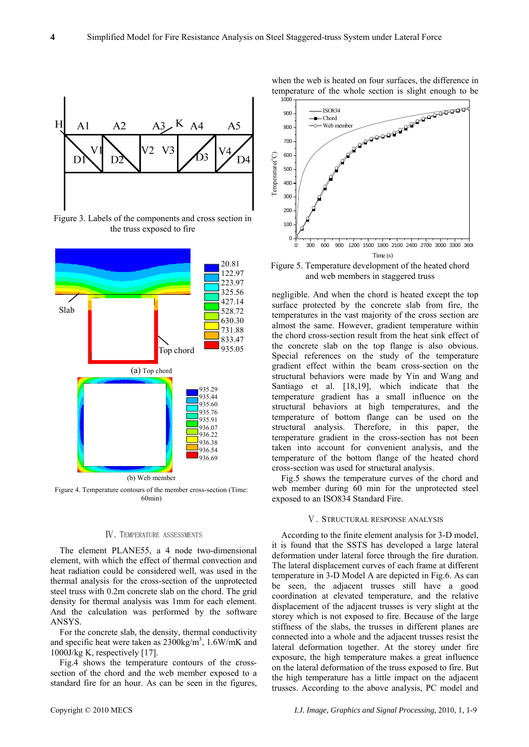

Figure 3. Labels of the components and cross section in the truss exposed to fire



### Ⅳ. TEMPERATURE ASSESSMENTS

The element PLANE55, a 4 node two-dimensional element, with which the effect of thermal convection and heat radiation could be considered well, was used in the thermal analysis for the cross-section of the unprotected steel truss with 0.2m concrete slab on the chord. The grid density for thermal analysis was 1mm for each element. And the calculation was performed by the software ANSYS.

For the concrete slab, the density, thermal conductivity and specific heat were taken as  $2300\text{kg/m}^3$ ,  $1.6\text{W/mK}$  and 1000J/kg K, respectively [17].

Fig.4 shows the temperature contours of the crosssection of the chord and the web member exposed to a standard fire for an hour. As can be seen in the figures, when the web is heated on four surfaces, the difference in temperature of the whole section is slight enough to be



Figure 5. Temperature development of the heated chord and web members in staggered truss

negligible. And when the chord is heated except the top surface protected by the concrete slab from fire, the temperatures in the vast majority of the cross section are almost the same. However, gradient temperature within the chord cross-section result from the heat sink effect of the concrete slab on the top flange is also obvious. Special references on the study of the temperature gradient effect within the beam cross-section on the structural behaviors were made by Yin and Wang and Santiago et al. [18,19], which indicate that the temperature gradient has a small influence on the structural behaviors at high temperatures, and the temperature of bottom flange can be used on the structural analysis. Therefore, in this paper, the temperature gradient in the cross-section has not been taken into account for convenient analysis, and the temperature of the bottom flange of the heated chord cross-section was used for structural analysis.

Fig.5 shows the temperature curves of the chord and web member during 60 min for the unprotected steel exposed to an ISO834 Standard Fire.

# Ⅴ. STRUCTURAL RESPONSE ANALYSIS

According to the finite element analysis for 3-D model, it is found that the SSTS has developed a large lateral deformation under lateral force through the fire duration. The lateral displacement curves of each frame at different temperature in 3-D Model A are depicted in Fig.6. As can be seen, the adjacent trusses still have a good coordination at elevated temperature, and the relative displacement of the adjacent trusses is very slight at the storey which is not exposed to fire. Because of the large stiffness of the slabs, the trusses in different planes are connected into a whole and the adjacent trusses resist the lateral deformation together. At the storey under fire exposure, the high temperature makes a great influence on the lateral deformation of the truss exposed to fire. But the high temperature has a little impact on the adjacent trusses. According to the above analysis, PC model and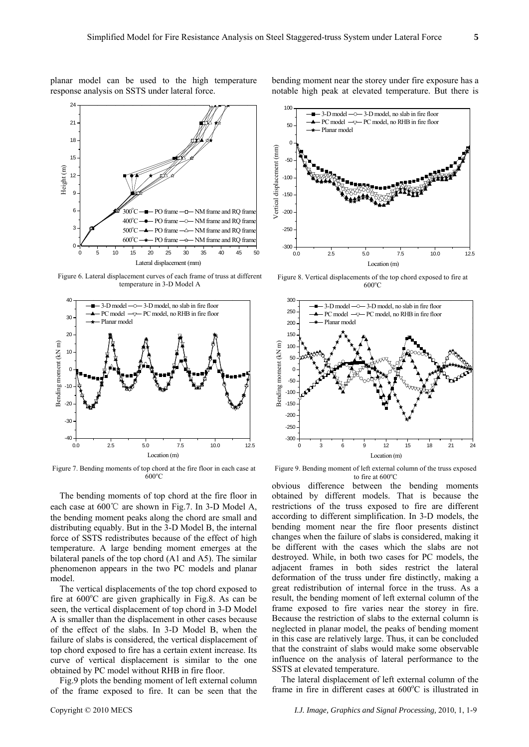planar model can be used to the high temperature response analysis on SSTS under lateral force.



Figure 6. Lateral displacement curves of each frame of truss at different temperature in 3-D Model A



Figure 7. Bending moments of top chord at the fire floor in each case at  $600^{\circ}$ C

The bending moments of top chord at the fire floor in each case at 600℃ are shown in Fig.7. In 3-D Model A, the bending moment peaks along the chord are small and distributing equably. But in the 3-D Model B, the internal force of SSTS redistributes because of the effect of high temperature. A large bending moment emerges at the bilateral panels of the top chord (A1 and A5). The similar phenomenon appears in the two PC models and planar model.

The vertical displacements of the top chord exposed to fire at 600°C are given graphically in Fig.8. As can be seen, the vertical displacement of top chord in 3-D Model A is smaller than the displacement in other cases because of the effect of the slabs. In 3-D Model B, when the failure of slabs is considered, the vertical displacement of top chord exposed to fire has a certain extent increase. Its curve of vertical displacement is similar to the one obtained by PC model without RHB in fire floor.

Fig.9 plots the bending moment of left external column of the frame exposed to fire. It can be seen that the

bending moment near the storey under fire exposure has a notable high peak at elevated temperature. But there is



Figure 8. Vertical displacements of the top chord exposed to fire at  $600^{\circ}$ C



Figure 9. Bending moment of left external column of the truss exposed to fire at 600°C

obvious difference between the bending moments obtained by different models. That is because the restrictions of the truss exposed to fire are different according to different simplification. In 3-D models, the bending moment near the fire floor presents distinct changes when the failure of slabs is considered, making it be different with the cases which the slabs are not destroyed. While, in both two cases for PC models, the adjacent frames in both sides restrict the lateral deformation of the truss under fire distinctly, making a great redistribution of internal force in the truss. As a result, the bending moment of left external column of the frame exposed to fire varies near the storey in fire. Because the restriction of slabs to the external column is neglected in planar model, the peaks of bending moment in this case are relatively large. Thus, it can be concluded that the constraint of slabs would make some observable influence on the analysis of lateral performance to the SSTS at elevated temperature.

The lateral displacement of left external column of the frame in fire in different cases at 600°C is illustrated in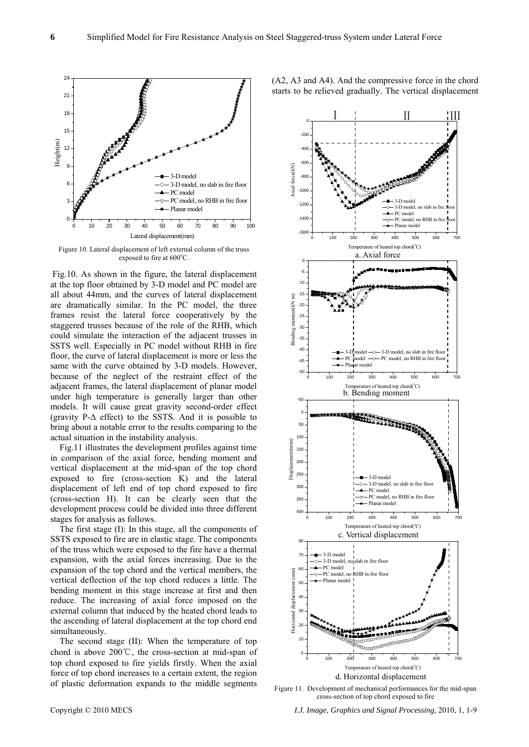

Figure 10. Lateral displacement of left external column of the truss exposed to fire at 600°C.

 Fig.10. As shown in the figure, the lateral displacement at the top floor obtained by 3-D model and PC model are all about 44mm, and the curves of lateral displacement are dramatically similar. In the PC model, the three frames resist the lateral force cooperatively by the staggered trusses because of the role of the RHB, which could simulate the interaction of the adjacent trusses in SSTS well. Especially in PC model without RHB in fire floor, the curve of lateral displacement is more or less the same with the curve obtained by 3-D models. However, because of the neglect of the restraint effect of the adjacent frames, the lateral displacement of planar model under high temperature is generally larger than other models. It will cause great gravity second-order effect (gravity  $P-\Delta$  effect) to the SSTS. And it is possible to bring about a notable error to the results comparing to the actual situation in the instability analysis.

Fig.11 illustrates the development profiles against time in comparison of the axial force, bending moment and vertical displacement at the mid-span of the top chord exposed to fire (cross-section K) and the lateral displacement of left end of top chord exposed to fire (cross-section H). It can be clearly seen that the development process could be divided into three different stages for analysis as follows.

The first stage (I): In this stage, all the components of SSTS exposed to fire are in elastic stage. The components of the truss which were exposed to the fire have a thermal expansion, with the axial forces increasing. Due to the expansion of the top chord and the vertical members, the vertical deflection of the top chord reduces a little. The bending moment in this stage increase at first and then reduce. The increasing of axial force imposed on the external column that induced by the heated chord leads to the ascending of lateral displacement at the top chord end simultaneously.

The second stage (II): When the temperature of top chord is above 200℃, the cross-section at mid-span of top chord exposed to fire yields firstly. When the axial force of top chord increases to a certain extent, the region of plastic deformation expands to the middle segments



(A2, A3 and A4). And the compressive force in the chord starts to be relieved gradually. The vertical displacement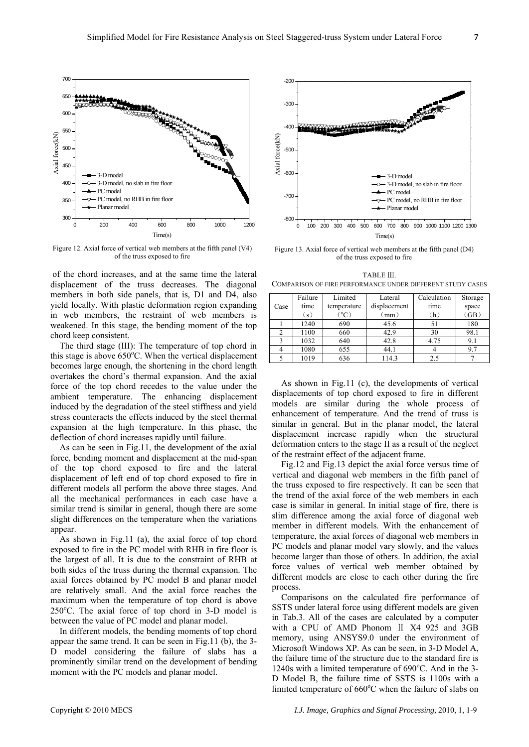

Figure 12. Axial force of vertical web members at the fifth panel (V4) of the truss exposed to fire

 of the chord increases, and at the same time the lateral displacement of the truss decreases. The diagonal members in both side panels, that is, D1 and D4, also yield locally. With plastic deformation region expanding in web members, the restraint of web members is weakened. In this stage, the bending moment of the top chord keep consistent.

The third stage (III): The temperature of top chord in this stage is above  $650^{\circ}$ C. When the vertical displacement becomes large enough, the shortening in the chord length overtakes the chord's thermal expansion. And the axial force of the top chord recedes to the value under the ambient temperature. The enhancing displacement induced by the degradation of the steel stiffness and yield stress counteracts the effects induced by the steel thermal expansion at the high temperature. In this phase, the deflection of chord increases rapidly until failure.

As can be seen in Fig.11, the development of the axial force, bending moment and displacement at the mid-span of the top chord exposed to fire and the lateral displacement of left end of top chord exposed to fire in different models all perform the above three stages. And all the mechanical performances in each case have a similar trend is similar in general, though there are some slight differences on the temperature when the variations appear.

As shown in Fig.11 (a), the axial force of top chord exposed to fire in the PC model with RHB in fire floor is the largest of all. It is due to the constraint of RHB at both sides of the truss during the thermal expansion. The axial forces obtained by PC model B and planar model are relatively small. And the axial force reaches the maximum when the temperature of top chord is above 250°C. The axial force of top chord in 3-D model is between the value of PC model and planar model.

In different models, the bending moments of top chord appear the same trend. It can be seen in Fig.11 (b), the 3- D model considering the failure of slabs has a prominently similar trend on the development of bending moment with the PC models and planar model.



Figure 13. Axial force of vertical web members at the fifth panel (D4) of the truss exposed to fire

TABLE III COMPARISON OF FIRE PERFORMANCE UNDER DIFFERENT STUDY CASES

|      | Failure | Limited     | Lateral      | Calculation | Storage |
|------|---------|-------------|--------------|-------------|---------|
| Case | time    | temperature | displacement | time        | space   |
|      | (s)     | $({}^0C)$   | (mm)         | (h)         | (GB)    |
|      | 1240    | 690         | 45.6         | 51          | 180     |
| 2    | 1100    | 660         | 42.9         | 30          | 98.1    |
| 3    | 1032    | 640         | 42.8         | 4.75        | 9.1     |
|      | 1080    | 655         | 44.1         |             | 9.7     |
|      | 1019    | 636         | 114.3        | 2.5         |         |

As shown in Fig.11 (c), the developments of vertical displacements of top chord exposed to fire in different models are similar during the whole process of enhancement of temperature. And the trend of truss is similar in general. But in the planar model, the lateral displacement increase rapidly when the structural deformation enters to the stage II as a result of the neglect of the restraint effect of the adjacent frame.

Fig.12 and Fig.13 depict the axial force versus time of vertical and diagonal web members in the fifth panel of the truss exposed to fire respectively. It can be seen that the trend of the axial force of the web members in each case is similar in general. In initial stage of fire, there is slim difference among the axial force of diagonal web member in different models. With the enhancement of temperature, the axial forces of diagonal web members in PC models and planar model vary slowly, and the values become larger than those of others. In addition, the axial force values of vertical web member obtained by different models are close to each other during the fire process.

Comparisons on the calculated fire performance of SSTS under lateral force using different models are given in Tab.3. All of the cases are calculated by a computer with a CPU of AMD Phonom II X4 925 and 3GB memory, using ANSYS9.0 under the environment of Microsoft Windows XP. As can be seen, in 3-D Model A, the failure time of the structure due to the standard fire is 1240s with a limited temperature of 690°C. And in the 3-D Model B, the failure time of SSTS is 1100s with a limited temperature of 660°C when the failure of slabs on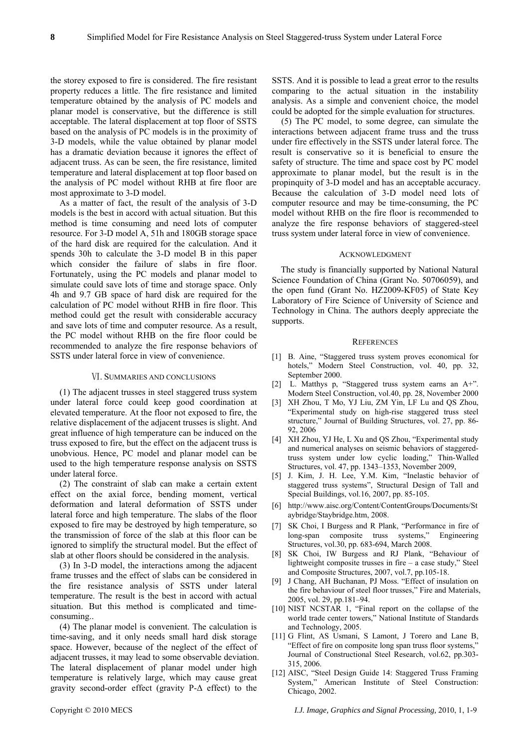the storey exposed to fire is considered. The fire resistant property reduces a little. The fire resistance and limited temperature obtained by the analysis of PC models and planar model is conservative, but the difference is still acceptable. The lateral displacement at top floor of SSTS based on the analysis of PC models is in the proximity of 3-D models, while the value obtained by planar model has a dramatic deviation because it ignores the effect of adjacent truss. As can be seen, the fire resistance, limited temperature and lateral displacement at top floor based on the analysis of PC model without RHB at fire floor are most approximate to 3-D model.

As a matter of fact, the result of the analysis of 3-D models is the best in accord with actual situation. But this method is time consuming and need lots of computer resource. For 3-D model A, 51h and 180GB storage space of the hard disk are required for the calculation. And it spends 30h to calculate the 3-D model B in this paper which consider the failure of slabs in fire floor. Fortunately, using the PC models and planar model to simulate could save lots of time and storage space. Only 4h and 9.7 GB space of hard disk are required for the calculation of PC model without RHB in fire floor. This method could get the result with considerable accuracy and save lots of time and computer resource. As a result, the PC model without RHB on the fire floor could be recommended to analyze the fire response behaviors of SSTS under lateral force in view of convenience.

### Ⅵ. SUMMARIES AND CONCLUSIONS

(1) The adjacent trusses in steel staggered truss system under lateral force could keep good coordination at elevated temperature. At the floor not exposed to fire, the relative displacement of the adjacent trusses is slight. And great influence of high temperature can be induced on the truss exposed to fire, but the effect on the adjacent truss is unobvious. Hence, PC model and planar model can be used to the high temperature response analysis on SSTS under lateral force.

(2) The constraint of slab can make a certain extent effect on the axial force, bending moment, vertical deformation and lateral deformation of SSTS under lateral force and high temperature. The slabs of the floor exposed to fire may be destroyed by high temperature, so the transmission of force of the slab at this floor can be ignored to simplify the structural model. But the effect of slab at other floors should be considered in the analysis.

(3) In 3-D model, the interactions among the adjacent frame trusses and the effect of slabs can be considered in the fire resistance analysis of SSTS under lateral temperature. The result is the best in accord with actual situation. But this method is complicated and timeconsuming..

(4) The planar model is convenient. The calculation is time-saving, and it only needs small hard disk storage space. However, because of the neglect of the effect of adjacent trusses, it may lead to some observable deviation. The lateral displacement of planar model under high temperature is relatively large, which may cause great gravity second-order effect (gravity P-Δ effect) to the

SSTS. And it is possible to lead a great error to the results comparing to the actual situation in the instability analysis. As a simple and convenient choice, the model could be adopted for the simple evaluation for structures.

(5) The PC model, to some degree, can simulate the interactions between adjacent frame truss and the truss under fire effectively in the SSTS under lateral force. The result is conservative so it is beneficial to ensure the safety of structure. The time and space cost by PC model approximate to planar model, but the result is in the propinquity of 3-D model and has an acceptable accuracy. Because the calculation of 3-D model need lots of computer resource and may be time-consuming, the PC model without RHB on the fire floor is recommended to analyze the fire response behaviors of staggered-steel truss system under lateral force in view of convenience.

#### ACKNOWLEDGMENT

The study is financially supported by National Natural Science Foundation of China (Grant No. 50706059), and the open fund (Grant No. HZ2009-KF05) of State Key Laboratory of Fire Science of University of Science and Technology in China. The authors deeply appreciate the supports.

#### **REFERENCES**

- [1] B. Aine, "Staggered truss system proves economical for hotels," Modern Steel Construction, vol. 40, pp. 32, September 2000.
- [2] L. Matthys p, "Staggered truss system earns an A+". Modern Steel Construction, vol.40, pp. 28, November 2000
- [3] XH Zhou, T Mo, YJ Liu, ZM Yin, LF Lu and QS Zhou, "Experimental study on high-rise staggered truss steel structure," Journal of Building Structures, vol. 27, pp. 86- 92, 2006
- [4] XH Zhou, YJ He, L Xu and QS Zhou, "Experimental study and numerical analyses on seismic behaviors of staggeredtruss system under low cyclic loading," Thin-Walled Structures, vol. 47, pp. 1343–1353, November 2009,
- [5] J. Kim, J. H. Lee, Y.M. Kim, "Inelastic behavior of staggered truss systems", Structural Design of Tall and Special Buildings, vol.16, 2007, pp. 85-105.
- [6] http://www.aisc.org/Content/ContentGroups/Documents/St aybridge/Staybridge.htm, 2008.
- [7] SK Choi, I Burgess and R Plank, "Performance in fire of long-span composite truss systems," Engineering Structures, vol.30, pp. 683-694, March 2008.
- [8] SK Choi, IW Burgess and RJ Plank, "Behaviour of lightweight composite trusses in fire – a case study," Steel and Composite Structures, 2007, vol.7, pp.105-18.
- [9] J Chang, AH Buchanan, PJ Moss. "Effect of insulation on the fire behaviour of steel floor trusses," Fire and Materials, 2005, vol. 29, pp.181–94.
- [10] NIST NCSTAR 1, "Final report on the collapse of the world trade center towers," National Institute of Standards and Technology, 2005.
- [11] G Flint, AS Usmani, S Lamont, J Torero and Lane B, "Effect of fire on composite long span truss floor systems," Journal of Constructional Steel Research, vol.62, pp.303- 315, 2006.
- [12] AISC, "Steel Design Guide 14: Staggered Truss Framing System," American Institute of Steel Construction: Chicago, 2002.

Copyright © 2010 MECS *I.J. Image, Graphics and Signal Processing,* 2010, 1, 1-9